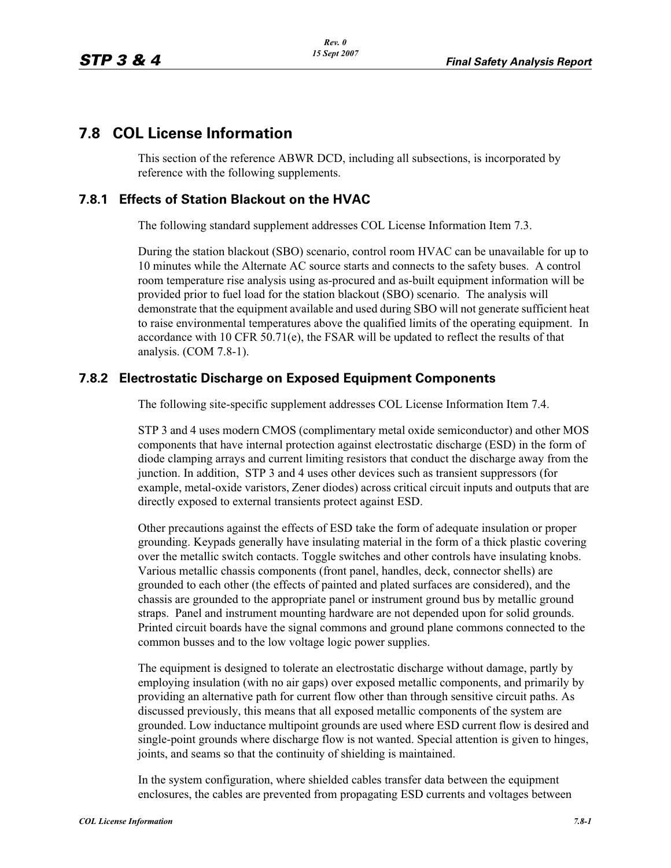## **7.8 COL License Information**

This section of the reference ABWR DCD, including all subsections, is incorporated by reference with the following supplements.

## **7.8.1 Effects of Station Blackout on the HVAC**

The following standard supplement addresses COL License Information Item 7.3.

During the station blackout (SBO) scenario, control room HVAC can be unavailable for up to 10 minutes while the Alternate AC source starts and connects to the safety buses. A control room temperature rise analysis using as-procured and as-built equipment information will be provided prior to fuel load for the station blackout (SBO) scenario. The analysis will demonstrate that the equipment available and used during SBO will not generate sufficient heat to raise environmental temperatures above the qualified limits of the operating equipment. In accordance with 10 CFR 50.71(e), the FSAR will be updated to reflect the results of that analysis. (COM 7.8-1).

## **7.8.2 Electrostatic Discharge on Exposed Equipment Components**

The following site-specific supplement addresses COL License Information Item 7.4.

STP 3 and 4 uses modern CMOS (complimentary metal oxide semiconductor) and other MOS components that have internal protection against electrostatic discharge (ESD) in the form of diode clamping arrays and current limiting resistors that conduct the discharge away from the junction. In addition, STP 3 and 4 uses other devices such as transient suppressors (for example, metal-oxide varistors, Zener diodes) across critical circuit inputs and outputs that are directly exposed to external transients protect against ESD.

Other precautions against the effects of ESD take the form of adequate insulation or proper grounding. Keypads generally have insulating material in the form of a thick plastic covering over the metallic switch contacts. Toggle switches and other controls have insulating knobs. Various metallic chassis components (front panel, handles, deck, connector shells) are grounded to each other (the effects of painted and plated surfaces are considered), and the chassis are grounded to the appropriate panel or instrument ground bus by metallic ground straps. Panel and instrument mounting hardware are not depended upon for solid grounds. Printed circuit boards have the signal commons and ground plane commons connected to the common busses and to the low voltage logic power supplies.

The equipment is designed to tolerate an electrostatic discharge without damage, partly by employing insulation (with no air gaps) over exposed metallic components, and primarily by providing an alternative path for current flow other than through sensitive circuit paths. As discussed previously, this means that all exposed metallic components of the system are grounded. Low inductance multipoint grounds are used where ESD current flow is desired and single-point grounds where discharge flow is not wanted. Special attention is given to hinges, joints, and seams so that the continuity of shielding is maintained.

In the system configuration, where shielded cables transfer data between the equipment enclosures, the cables are prevented from propagating ESD currents and voltages between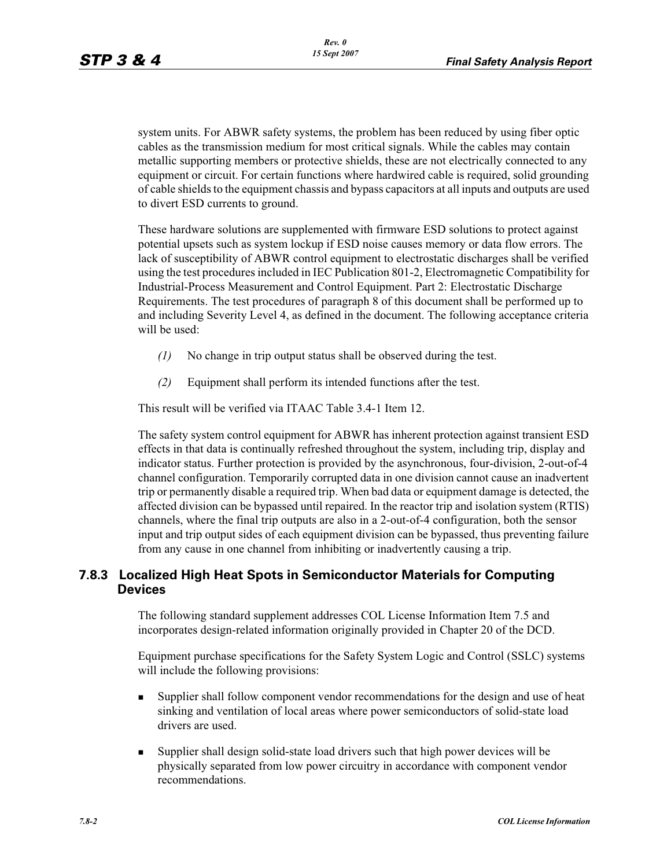system units. For ABWR safety systems, the problem has been reduced by using fiber optic cables as the transmission medium for most critical signals. While the cables may contain metallic supporting members or protective shields, these are not electrically connected to any equipment or circuit. For certain functions where hardwired cable is required, solid grounding of cable shields to the equipment chassis and bypass capacitors at all inputs and outputs are used to divert ESD currents to ground.

These hardware solutions are supplemented with firmware ESD solutions to protect against potential upsets such as system lockup if ESD noise causes memory or data flow errors. The lack of susceptibility of ABWR control equipment to electrostatic discharges shall be verified using the test procedures included in IEC Publication 801-2, Electromagnetic Compatibility for Industrial-Process Measurement and Control Equipment. Part 2: Electrostatic Discharge Requirements. The test procedures of paragraph 8 of this document shall be performed up to and including Severity Level 4, as defined in the document. The following acceptance criteria will be used:

- *(1)* No change in trip output status shall be observed during the test.
- *(2)* Equipment shall perform its intended functions after the test.

This result will be verified via ITAAC Table 3.4-1 Item 12.

The safety system control equipment for ABWR has inherent protection against transient ESD effects in that data is continually refreshed throughout the system, including trip, display and indicator status. Further protection is provided by the asynchronous, four-division, 2-out-of-4 channel configuration. Temporarily corrupted data in one division cannot cause an inadvertent trip or permanently disable a required trip. When bad data or equipment damage is detected, the affected division can be bypassed until repaired. In the reactor trip and isolation system (RTIS) channels, where the final trip outputs are also in a 2-out-of-4 configuration, both the sensor input and trip output sides of each equipment division can be bypassed, thus preventing failure from any cause in one channel from inhibiting or inadvertently causing a trip.

## **7.8.3 Localized High Heat Spots in Semiconductor Materials for Computing Devices**

The following standard supplement addresses COL License Information Item 7.5 and incorporates design-related information originally provided in Chapter 20 of the DCD.

Equipment purchase specifications for the Safety System Logic and Control (SSLC) systems will include the following provisions:

- - Supplier shall follow component vendor recommendations for the design and use of heat sinking and ventilation of local areas where power semiconductors of solid-state load drivers are used.
- - Supplier shall design solid-state load drivers such that high power devices will be physically separated from low power circuitry in accordance with component vendor recommendations.